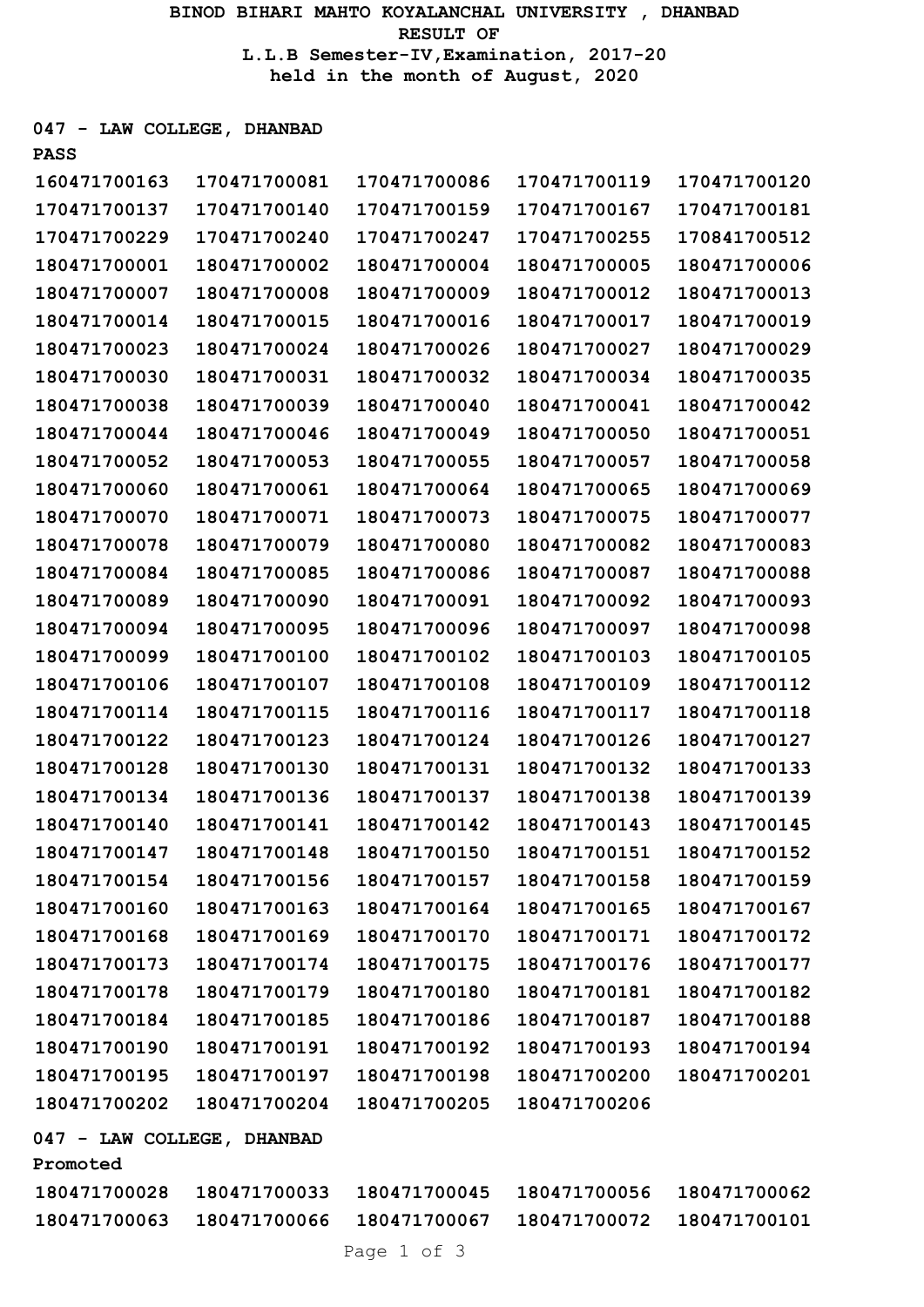BINOD BIHARI MAHTO KOYALANCHAL UNIVERSITY , DHANBAD RESULT OF L.L.B Semester-IV,Examination, 2017-20 held in the month of August, 2020

047 - LAW COLLEGE, DHANBAD

| <b>PASS</b>                            |              |              |              |              |
|----------------------------------------|--------------|--------------|--------------|--------------|
| 160471700163                           | 170471700081 | 170471700086 | 170471700119 | 170471700120 |
| 170471700137                           | 170471700140 | 170471700159 | 170471700167 | 170471700181 |
| 170471700229                           | 170471700240 | 170471700247 | 170471700255 | 170841700512 |
| 180471700001                           | 180471700002 | 180471700004 | 180471700005 | 180471700006 |
| 180471700007                           | 180471700008 | 180471700009 | 180471700012 | 180471700013 |
| 180471700014                           | 180471700015 | 180471700016 | 180471700017 | 180471700019 |
| 180471700023                           | 180471700024 | 180471700026 | 180471700027 | 180471700029 |
| 180471700030                           | 180471700031 | 180471700032 | 180471700034 | 180471700035 |
| 180471700038                           | 180471700039 | 180471700040 | 180471700041 | 180471700042 |
| 180471700044                           | 180471700046 | 180471700049 | 180471700050 | 180471700051 |
| 180471700052                           | 180471700053 | 180471700055 | 180471700057 | 180471700058 |
| 180471700060                           | 180471700061 | 180471700064 | 180471700065 | 180471700069 |
| 180471700070                           | 180471700071 | 180471700073 | 180471700075 | 180471700077 |
| 180471700078                           | 180471700079 | 180471700080 | 180471700082 | 180471700083 |
| 180471700084                           | 180471700085 | 180471700086 | 180471700087 | 180471700088 |
| 180471700089                           | 180471700090 | 180471700091 | 180471700092 | 180471700093 |
| 180471700094                           | 180471700095 | 180471700096 | 180471700097 | 180471700098 |
| 180471700099                           | 180471700100 | 180471700102 | 180471700103 | 180471700105 |
| 180471700106                           | 180471700107 | 180471700108 | 180471700109 | 180471700112 |
| 180471700114                           | 180471700115 | 180471700116 | 180471700117 | 180471700118 |
| 180471700122                           | 180471700123 | 180471700124 | 180471700126 | 180471700127 |
| 180471700128                           | 180471700130 | 180471700131 | 180471700132 | 180471700133 |
| 180471700134                           | 180471700136 | 180471700137 | 180471700138 | 180471700139 |
| 180471700140                           | 180471700141 | 180471700142 | 180471700143 | 180471700145 |
| 180471700147                           | 180471700148 | 180471700150 | 180471700151 | 180471700152 |
| 180471700154                           | 180471700156 | 180471700157 | 180471700158 | 180471700159 |
| 180471700160                           | 180471700163 | 180471700164 | 180471700165 | 180471700167 |
| 180471700168                           | 180471700169 | 180471700170 | 180471700171 | 180471700172 |
| 180471700173                           | 180471700174 | 180471700175 | 180471700176 | 180471700177 |
| 180471700178                           | 180471700179 | 180471700180 | 180471700181 | 180471700182 |
| 180471700184                           | 180471700185 | 180471700186 | 180471700187 | 180471700188 |
| 180471700190                           | 180471700191 | 180471700192 | 180471700193 | 180471700194 |
| 180471700195                           | 180471700197 | 180471700198 | 180471700200 | 180471700201 |
| 180471700202                           | 180471700204 | 180471700205 | 180471700206 |              |
| 047 - LAW COLLEGE, DHANBAD<br>Promoted |              |              |              |              |
| 180471700028                           | 180471700033 | 180471700045 | 180471700056 | 180471700062 |
| 180471700063                           | 180471700066 | 180471700067 | 180471700072 | 180471700101 |
|                                        |              |              |              |              |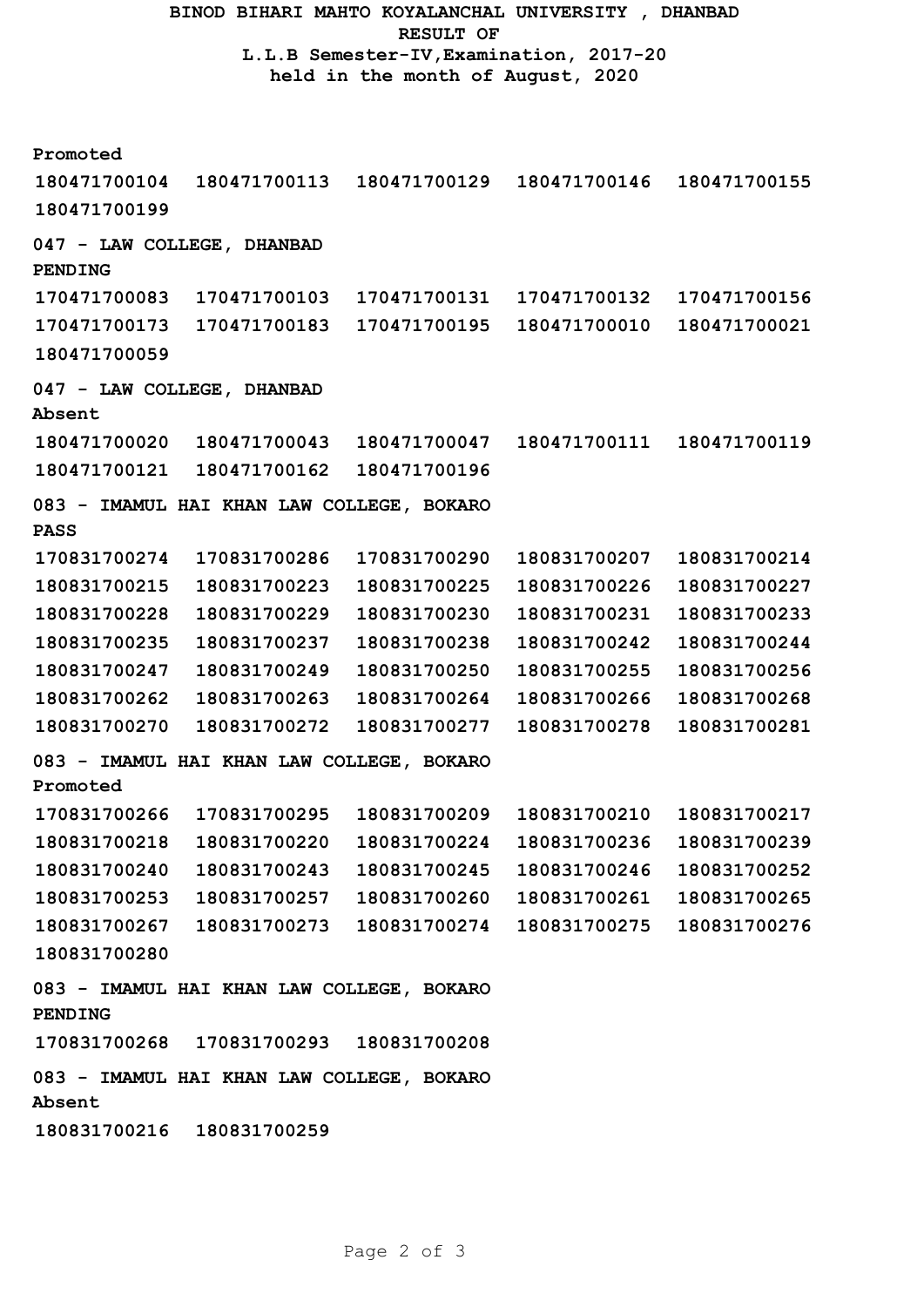BINOD BIHARI MAHTO KOYALANCHAL UNIVERSITY , DHANBAD RESULT OF L.L.B Semester-IV,Examination, 2017-20 held in the month of August, 2020